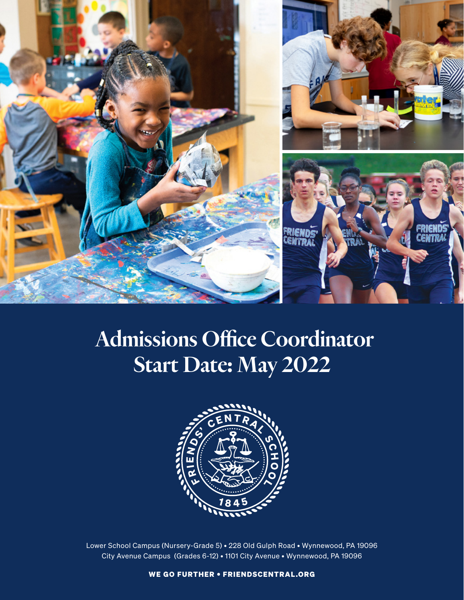

# Admissions Office Coordinator Start Date: May 2022



Lower School Campus (Nursery-Grade 5) • 228 Old Gulph Road • Wynnewood, PA 19096 City Avenue Campus (Grades 6-12) • 1101 City Avenue • Wynnewood, PA 19096

WE GO FURTHER • FRIENDSCENTRAL.ORG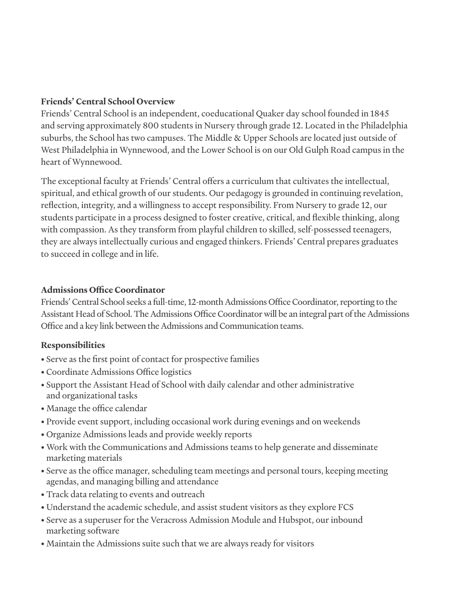#### **Friends' Central School Overview**

Friends' Central School is an independent, coeducational Quaker day school founded in 1845 and serving approximately 800 students in Nursery through grade 12. Located in the Philadelphia suburbs, the School has two campuses. The Middle & Upper Schools are located just outside of West Philadelphia in Wynnewood, and the Lower School is on our Old Gulph Road campus in the heart of Wynnewood.

The exceptional faculty at Friends' Central offers a curriculum that cultivates the intellectual, spiritual, and ethical growth of our students. Our pedagogy is grounded in continuing revelation, reflection, integrity, and a willingness to accept responsibility. From Nursery to grade 12, our students participate in a process designed to foster creative, critical, and flexible thinking, along with compassion. As they transform from playful children to skilled, self-possessed teenagers, they are always intellectually curious and engaged thinkers. Friends' Central prepares graduates to succeed in college and in life.

### **Admissions Office Coordinator**

Friends' Central School seeks a full-time, 12-month Admissions Office Coordinator, reporting to the Assistant Head of School. The Admissions Office Coordinator will be an integral part of the Admissions Office and a key link between the Admissions and Communication teams.

## **Responsibilities**

- Serve as the first point of contact for prospective families
- Coordinate Admissions Office logistics
- Support the Assistant Head of School with daily calendar and other administrative and organizational tasks
- Manage the office calendar
- Provide event support, including occasional work during evenings and on weekends
- Organize Admissions leads and provide weekly reports
- Work with the Communications and Admissions teams to help generate and disseminate marketing materials
- Serve as the office manager, scheduling team meetings and personal tours, keeping meeting agendas, and managing billing and attendance
- Track data relating to events and outreach
- Understand the academic schedule, and assist student visitors as they explore FCS
- Serve as a superuser for the Veracross Admission Module and Hubspot, our inbound marketing software
- Maintain the Admissions suite such that we are always ready for visitors